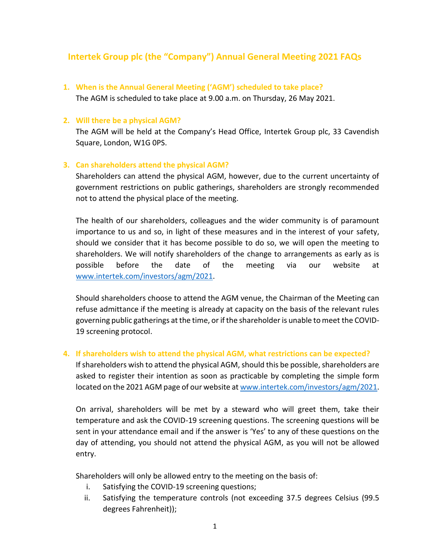# **Intertek Group plc (the "Company") Annual General Meeting 2021 FAQs**

**1. When is the Annual General Meeting ('AGM') scheduled to take place?**

The AGM is scheduled to take place at 9.00 a.m. on Thursday, 26 May 2021.

# **2. Will there be a physical AGM?**

The AGM will be held at the Company's Head Office, Intertek Group plc, 33 Cavendish Square, London, W1G 0PS.

# **3. Can shareholders attend the physical AGM?**

Shareholders can attend the physical AGM, however, due to the current uncertainty of government restrictions on public gatherings, shareholders are strongly recommended not to attend the physical place of the meeting.

The health of our shareholders, colleagues and the wider community is of paramount importance to us and so, in light of these measures and in the interest of your safety, should we consider that it has become possible to do so, we will open the meeting to shareholders. We will notify shareholders of the change to arrangements as early as is possible before the date of the meeting via our website at [www.intertek.com/investors/agm/2021.](http://www.intertek.com/investors/agm/2021)

Should shareholders choose to attend the AGM venue, the Chairman of the Meeting can refuse admittance if the meeting is already at capacity on the basis of the relevant rules governing public gatherings at the time, or if the shareholder is unable to meet the COVID-19 screening protocol.

# **4. If shareholders wish to attend the physical AGM, what restrictions can be expected?**

If shareholders wish to attend the physical AGM, should this be possible, shareholders are asked to register their intention as soon as practicable by completing the simple form located on the 2021 AGM page of our website at [www.intertek.com/investors/agm/2021.](http://www.intertek.com/investors/agm/2021)

On arrival, shareholders will be met by a steward who will greet them, take their temperature and ask the COVID-19 screening questions. The screening questions will be sent in your attendance email and if the answer is 'Yes' to any of these questions on the day of attending, you should not attend the physical AGM, as you will not be allowed entry.

Shareholders will only be allowed entry to the meeting on the basis of:

- i. Satisfying the COVID-19 screening questions;
- ii. Satisfying the temperature controls (not exceeding 37.5 degrees Celsius (99.5 degrees Fahrenheit));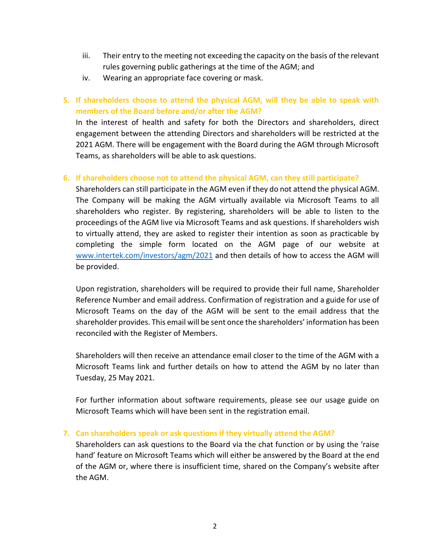- iii. Their entry to the meeting not exceeding the capacity on the basis of the relevant rules governing public gatherings at the time of the AGM; and
- iv. Wearing an appropriate face covering or mask.
- **5. If shareholders choose to attend the physical AGM, will they be able to speak with members of the Board before and/or after the AGM?**

In the interest of health and safety for both the Directors and shareholders, direct engagement between the attending Directors and shareholders will be restricted at the 2021 AGM. There will be engagement with the Board during the AGM through Microsoft Teams, as shareholders will be able to ask questions.

# **6. If shareholders choose not to attend the physical AGM, can they still participate?**

Shareholders can still participate in the AGM even if they do not attend the physical AGM. The Company will be making the AGM virtually available via Microsoft Teams to all shareholders who register. By registering, shareholders will be able to listen to the proceedings of the AGM live via Microsoft Teams and ask questions. If shareholders wish to virtually attend, they are asked to register their intention as soon as practicable by completing the simple form located on the AGM page of our website at [www.intertek.com/investors/agm/2021](http://www.intertek.com/investors/agm/2021) and then details of how to access the AGM will be provided.

Upon registration, shareholders will be required to provide their full name, Shareholder Reference Number and email address. Confirmation of registration and a guide for use of Microsoft Teams on the day of the AGM will be sent to the email address that the shareholder provides. This email will be sent once the shareholders' information has been reconciled with the Register of Members.

Shareholders will then receive an attendance email closer to the time of the AGM with a Microsoft Teams link and further details on how to attend the AGM by no later than Tuesday, 25 May 2021.

For further information about software requirements, please see our usage guide on Microsoft Teams which will have been sent in the registration email.

# **7. Can shareholders speak or ask questions if they virtually attend the AGM?**

Shareholders can ask questions to the Board via the chat function or by using the 'raise hand' feature on Microsoft Teams which will either be answered by the Board at the end of the AGM or, where there is insufficient time, shared on the Company's website after the AGM.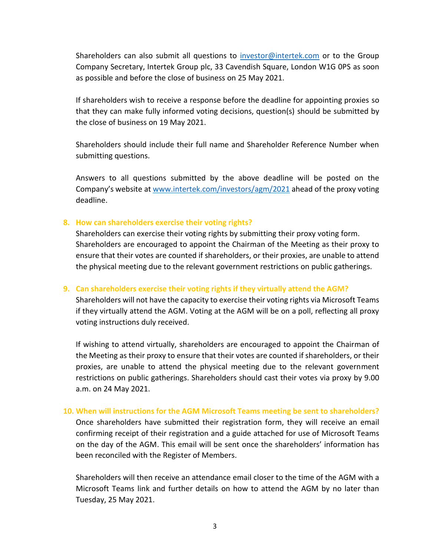Shareholders can also submit all questions to [investor@intertek.com](mailto:investor@intertek.com) or to the Group Company Secretary, Intertek Group plc, 33 Cavendish Square, London W1G 0PS as soon as possible and before the close of business on 25 May 2021.

If shareholders wish to receive a response before the deadline for appointing proxies so that they can make fully informed voting decisions, question(s) should be submitted by the close of business on 19 May 2021.

Shareholders should include their full name and Shareholder Reference Number when submitting questions.

Answers to all questions submitted by the above deadline will be posted on the Company's website a[t www.intertek.com/investors/agm/2021](http://www.intertek.com/investors/agm/2021) ahead of the proxy voting deadline.

# **8. How can shareholders exercise their voting rights?**

Shareholders can exercise their voting rights by submitting their proxy voting form. Shareholders are encouraged to appoint the Chairman of the Meeting as their proxy to ensure that their votes are counted if shareholders, or their proxies, are unable to attend the physical meeting due to the relevant government restrictions on public gatherings.

#### **9. Can shareholders exercise their voting rights if they virtually attend the AGM?**

Shareholders will not have the capacity to exercise their voting rights via Microsoft Teams if they virtually attend the AGM. Voting at the AGM will be on a poll, reflecting all proxy voting instructions duly received.

If wishing to attend virtually, shareholders are encouraged to appoint the Chairman of the Meeting as their proxy to ensure that their votes are counted if shareholders, or their proxies, are unable to attend the physical meeting due to the relevant government restrictions on public gatherings. Shareholders should cast their votes via proxy by 9.00 a.m. on 24 May 2021.

# **10. When will instructions for the AGM Microsoft Teams meeting be sent to shareholders?**

Once shareholders have submitted their registration form, they will receive an email confirming receipt of their registration and a guide attached for use of Microsoft Teams on the day of the AGM. This email will be sent once the shareholders' information has been reconciled with the Register of Members.

Shareholders will then receive an attendance email closer to the time of the AGM with a Microsoft Teams link and further details on how to attend the AGM by no later than Tuesday, 25 May 2021.